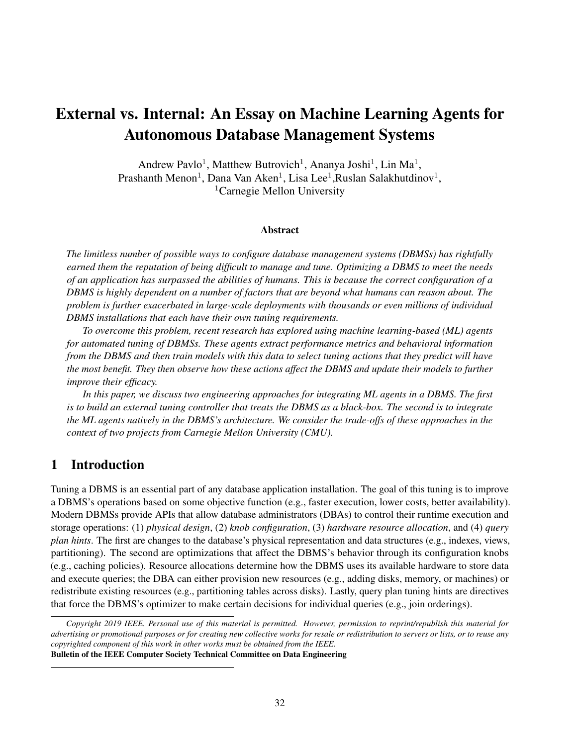# External vs. Internal: An Essay on Machine Learning Agents for Autonomous Database Management Systems

Andrew Pavlo<sup>1</sup>, Matthew Butrovich<sup>1</sup>, Ananya Joshi<sup>1</sup>, Lin Ma<sup>1</sup>, Prashanth Menon<sup>1</sup>, Dana Van Aken<sup>1</sup>, Lisa Lee<sup>1</sup>, Ruslan Salakhutdinov<sup>1</sup>, <sup>1</sup>Carnegie Mellon University

#### Abstract

*The limitless number of possible ways to configure database management systems (DBMSs) has rightfully earned them the reputation of being difficult to manage and tune. Optimizing a DBMS to meet the needs of an application has surpassed the abilities of humans. This is because the correct configuration of a DBMS is highly dependent on a number of factors that are beyond what humans can reason about. The problem is further exacerbated in large-scale deployments with thousands or even millions of individual DBMS installations that each have their own tuning requirements.*

*To overcome this problem, recent research has explored using machine learning-based (ML) agents for automated tuning of DBMSs. These agents extract performance metrics and behavioral information from the DBMS and then train models with this data to select tuning actions that they predict will have the most benefit. They then observe how these actions affect the DBMS and update their models to further improve their efficacy.*

*In this paper, we discuss two engineering approaches for integrating ML agents in a DBMS. The first is to build an external tuning controller that treats the DBMS as a black-box. The second is to integrate the ML agents natively in the DBMS's architecture. We consider the trade-offs of these approaches in the context of two projects from Carnegie Mellon University (CMU).*

# 1 Introduction

Tuning a DBMS is an essential part of any database application installation. The goal of this tuning is to improve a DBMS's operations based on some objective function (e.g., faster execution, lower costs, better availability). Modern DBMSs provide APIs that allow database administrators (DBAs) to control their runtime execution and storage operations: (1) *physical design*, (2) *knob configuration*, (3) *hardware resource allocation*, and (4) *query plan hints*. The first are changes to the database's physical representation and data structures (e.g., indexes, views, partitioning). The second are optimizations that affect the DBMS's behavior through its configuration knobs (e.g., caching policies). Resource allocations determine how the DBMS uses its available hardware to store data and execute queries; the DBA can either provision new resources (e.g., adding disks, memory, or machines) or redistribute existing resources (e.g., partitioning tables across disks). Lastly, query plan tuning hints are directives that force the DBMS's optimizer to make certain decisions for individual queries (e.g., join orderings).

*Copyright 2019 IEEE. Personal use of this material is permitted. However, permission to reprint/republish this material for advertising or promotional purposes or for creating new collective works for resale or redistribution to servers or lists, or to reuse any copyrighted component of this work in other works must be obtained from the IEEE.* Bulletin of the IEEE Computer Society Technical Committee on Data Engineering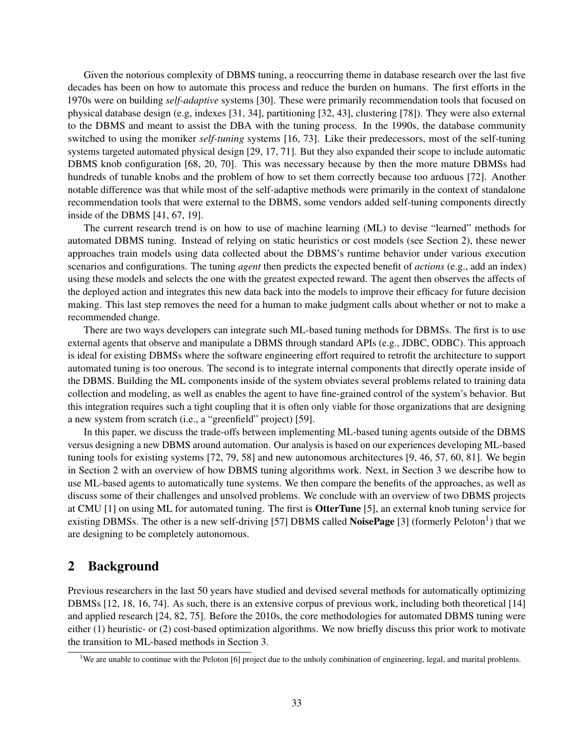Given the notorious complexity of DBMS tuning, a reoccurring theme in database research over the last five decades has been on how to automate this process and reduce the burden on humans. The first efforts in the 1970s were on building *self-adaptive* systems [30]. These were primarily recommendation tools that focused on physical database design (e.g, indexes [31, 34], partitioning [32, 43], clustering [78]). They were also external to the DBMS and meant to assist the DBA with the tuning process. In the 1990s, the database community switched to using the moniker *self-tuning* systems [16, 73]. Like their predecessors, most of the self-tuning systems targeted automated physical design [29, 17, 71]. But they also expanded their scope to include automatic DBMS knob configuration [68, 20, 70]. This was necessary because by then the more mature DBMSs had hundreds of tunable knobs and the problem of how to set them correctly because too arduous [72]. Another notable difference was that while most of the self-adaptive methods were primarily in the context of standalone recommendation tools that were external to the DBMS, some vendors added self-tuning components directly inside of the DBMS [41, 67, 19].

The current research trend is on how to use of machine learning (ML) to devise "learned" methods for automated DBMS tuning. Instead of relying on static heuristics or cost models (see Section 2), these newer approaches train models using data collected about the DBMS's runtime behavior under various execution scenarios and configurations. The tuning *agent* then predicts the expected benefit of *actions* (e.g., add an index) using these models and selects the one with the greatest expected reward. The agent then observes the affects of the deployed action and integrates this new data back into the models to improve their efficacy for future decision making. This last step removes the need for a human to make judgment calls about whether or not to make a recommended change.

There are two ways developers can integrate such ML-based tuning methods for DBMSs. The first is to use external agents that observe and manipulate a DBMS through standard APIs (e.g., JDBC, ODBC). This approach is ideal for existing DBMSs where the software engineering effort required to retrofit the architecture to support automated tuning is too onerous. The second is to integrate internal components that directly operate inside of the DBMS. Building the ML components inside of the system obviates several problems related to training data collection and modeling, as well as enables the agent to have fine-grained control of the system's behavior. But this integration requires such a tight coupling that it is often only viable for those organizations that are designing a new system from scratch (i.e., a "greenfield" project) [59].

In this paper, we discuss the trade-offs between implementing ML-based tuning agents outside of the DBMS versus designing a new DBMS around automation. Our analysis is based on our experiences developing ML-based tuning tools for existing systems [72, 79, 58] and new autonomous architectures [9, 46, 57, 60, 81]. We begin in Section 2 with an overview of how DBMS tuning algorithms work. Next, in Section 3 we describe how to use ML-based agents to automatically tune systems. We then compare the benefits of the approaches, as well as discuss some of their challenges and unsolved problems. We conclude with an overview of two DBMS projects at CMU [1] on using ML for automated tuning. The first is OtterTune [5], an external knob tuning service for existing DBMSs. The other is a new self-driving [57] DBMS called **NoisePage** [3] (formerly Peloton<sup>1</sup>) that we are designing to be completely autonomous.

# 2 Background

Previous researchers in the last 50 years have studied and devised several methods for automatically optimizing DBMSs [12, 18, 16, 74]. As such, there is an extensive corpus of previous work, including both theoretical [14] and applied research [24, 82, 75]. Before the 2010s, the core methodologies for automated DBMS tuning were either (1) heuristic- or (2) cost-based optimization algorithms. We now briefly discuss this prior work to motivate the transition to ML-based methods in Section 3.

<sup>&</sup>lt;sup>1</sup>We are unable to continue with the Peloton [6] project due to the unholy combination of engineering, legal, and marital problems.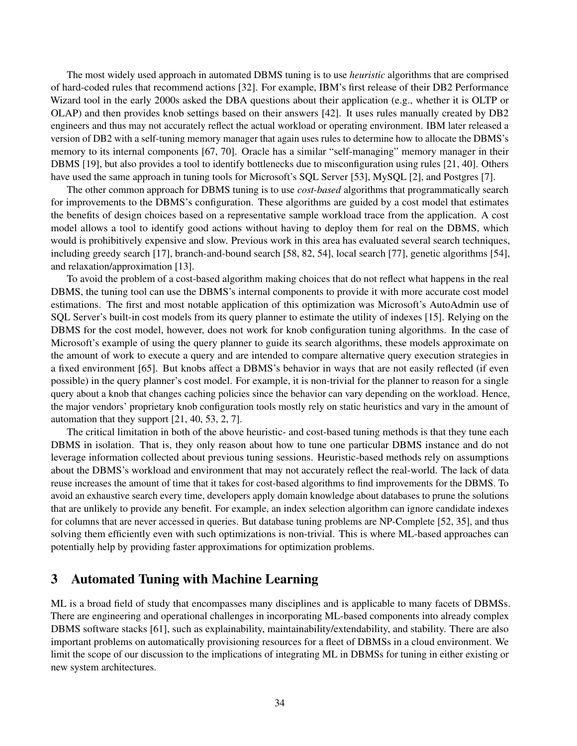The most widely used approach in automated DBMS tuning is to use *heuristic* algorithms that are comprised of hard-coded rules that recommend actions [32]. For example, IBM's first release of their DB2 Performance Wizard tool in the early 2000s asked the DBA questions about their application (e.g., whether it is OLTP or OLAP) and then provides knob settings based on their answers [42]. It uses rules manually created by DB2 engineers and thus may not accurately reflect the actual workload or operating environment. IBM later released a version of DB2 with a self-tuning memory manager that again uses rules to determine how to allocate the DBMS's memory to its internal components [67, 70]. Oracle has a similar "self-managing" memory manager in their DBMS [19], but also provides a tool to identify bottlenecks due to misconfiguration using rules [21, 40]. Others have used the same approach in tuning tools for Microsoft's SQL Server [53], MySQL [2], and Postgres [7].

The other common approach for DBMS tuning is to use *cost-based* algorithms that programmatically search for improvements to the DBMS's configuration. These algorithms are guided by a cost model that estimates the benefits of design choices based on a representative sample workload trace from the application. A cost model allows a tool to identify good actions without having to deploy them for real on the DBMS, which would is prohibitively expensive and slow. Previous work in this area has evaluated several search techniques, including greedy search [17], branch-and-bound search [58, 82, 54], local search [77], genetic algorithms [54], and relaxation/approximation [13].

To avoid the problem of a cost-based algorithm making choices that do not reflect what happens in the real DBMS, the tuning tool can use the DBMS's internal components to provide it with more accurate cost model estimations. The first and most notable application of this optimization was Microsoft's AutoAdmin use of SQL Server's built-in cost models from its query planner to estimate the utility of indexes [15]. Relying on the DBMS for the cost model, however, does not work for knob configuration tuning algorithms. In the case of Microsoft's example of using the query planner to guide its search algorithms, these models approximate on the amount of work to execute a query and are intended to compare alternative query execution strategies in a fixed environment [65]. But knobs affect a DBMS's behavior in ways that are not easily reflected (if even possible) in the query planner's cost model. For example, it is non-trivial for the planner to reason for a single query about a knob that changes caching policies since the behavior can vary depending on the workload. Hence, the major vendors' proprietary knob configuration tools mostly rely on static heuristics and vary in the amount of automation that they support [21, 40, 53, 2, 7].

The critical limitation in both of the above heuristic- and cost-based tuning methods is that they tune each DBMS in isolation. That is, they only reason about how to tune one particular DBMS instance and do not leverage information collected about previous tuning sessions. Heuristic-based methods rely on assumptions about the DBMS's workload and environment that may not accurately reflect the real-world. The lack of data reuse increases the amount of time that it takes for cost-based algorithms to find improvements for the DBMS. To avoid an exhaustive search every time, developers apply domain knowledge about databases to prune the solutions that are unlikely to provide any benefit. For example, an index selection algorithm can ignore candidate indexes for columns that are never accessed in queries. But database tuning problems are NP-Complete [52, 35], and thus solving them efficiently even with such optimizations is non-trivial. This is where ML-based approaches can potentially help by providing faster approximations for optimization problems.

# 3 Automated Tuning with Machine Learning

ML is a broad field of study that encompasses many disciplines and is applicable to many facets of DBMSs. There are engineering and operational challenges in incorporating ML-based components into already complex DBMS software stacks [61], such as explainability, maintainability/extendability, and stability. There are also important problems on automatically provisioning resources for a fleet of DBMSs in a cloud environment. We limit the scope of our discussion to the implications of integrating ML in DBMSs for tuning in either existing or new system architectures.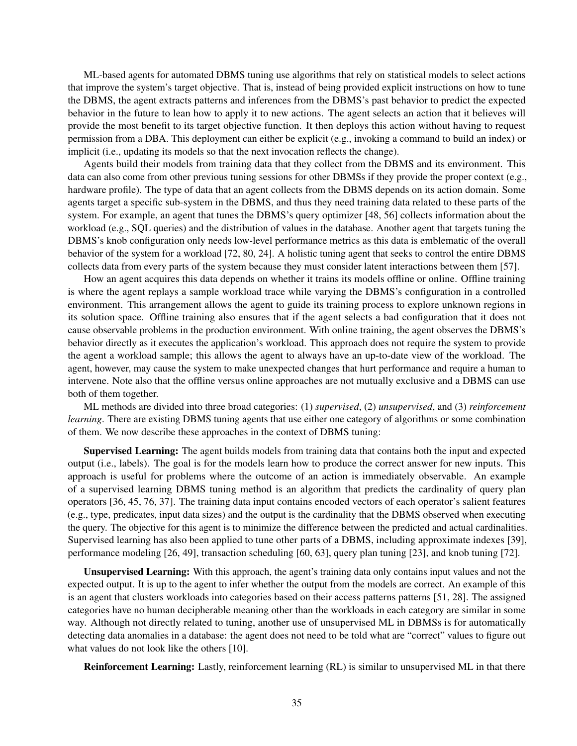ML-based agents for automated DBMS tuning use algorithms that rely on statistical models to select actions that improve the system's target objective. That is, instead of being provided explicit instructions on how to tune the DBMS, the agent extracts patterns and inferences from the DBMS's past behavior to predict the expected behavior in the future to lean how to apply it to new actions. The agent selects an action that it believes will provide the most benefit to its target objective function. It then deploys this action without having to request permission from a DBA. This deployment can either be explicit (e.g., invoking a command to build an index) or implicit (i.e., updating its models so that the next invocation reflects the change).

Agents build their models from training data that they collect from the DBMS and its environment. This data can also come from other previous tuning sessions for other DBMSs if they provide the proper context (e.g., hardware profile). The type of data that an agent collects from the DBMS depends on its action domain. Some agents target a specific sub-system in the DBMS, and thus they need training data related to these parts of the system. For example, an agent that tunes the DBMS's query optimizer [48, 56] collects information about the workload (e.g., SQL queries) and the distribution of values in the database. Another agent that targets tuning the DBMS's knob configuration only needs low-level performance metrics as this data is emblematic of the overall behavior of the system for a workload [72, 80, 24]. A holistic tuning agent that seeks to control the entire DBMS collects data from every parts of the system because they must consider latent interactions between them [57].

How an agent acquires this data depends on whether it trains its models offline or online. Offline training is where the agent replays a sample workload trace while varying the DBMS's configuration in a controlled environment. This arrangement allows the agent to guide its training process to explore unknown regions in its solution space. Offline training also ensures that if the agent selects a bad configuration that it does not cause observable problems in the production environment. With online training, the agent observes the DBMS's behavior directly as it executes the application's workload. This approach does not require the system to provide the agent a workload sample; this allows the agent to always have an up-to-date view of the workload. The agent, however, may cause the system to make unexpected changes that hurt performance and require a human to intervene. Note also that the offline versus online approaches are not mutually exclusive and a DBMS can use both of them together.

ML methods are divided into three broad categories: (1) *supervised*, (2) *unsupervised*, and (3) *reinforcement learning*. There are existing DBMS tuning agents that use either one category of algorithms or some combination of them. We now describe these approaches in the context of DBMS tuning:

Supervised Learning: The agent builds models from training data that contains both the input and expected output (i.e., labels). The goal is for the models learn how to produce the correct answer for new inputs. This approach is useful for problems where the outcome of an action is immediately observable. An example of a supervised learning DBMS tuning method is an algorithm that predicts the cardinality of query plan operators [36, 45, 76, 37]. The training data input contains encoded vectors of each operator's salient features (e.g., type, predicates, input data sizes) and the output is the cardinality that the DBMS observed when executing the query. The objective for this agent is to minimize the difference between the predicted and actual cardinalities. Supervised learning has also been applied to tune other parts of a DBMS, including approximate indexes [39], performance modeling [26, 49], transaction scheduling [60, 63], query plan tuning [23], and knob tuning [72].

Unsupervised Learning: With this approach, the agent's training data only contains input values and not the expected output. It is up to the agent to infer whether the output from the models are correct. An example of this is an agent that clusters workloads into categories based on their access patterns patterns [51, 28]. The assigned categories have no human decipherable meaning other than the workloads in each category are similar in some way. Although not directly related to tuning, another use of unsupervised ML in DBMSs is for automatically detecting data anomalies in a database: the agent does not need to be told what are "correct" values to figure out what values do not look like the others [10].

Reinforcement Learning: Lastly, reinforcement learning (RL) is similar to unsupervised ML in that there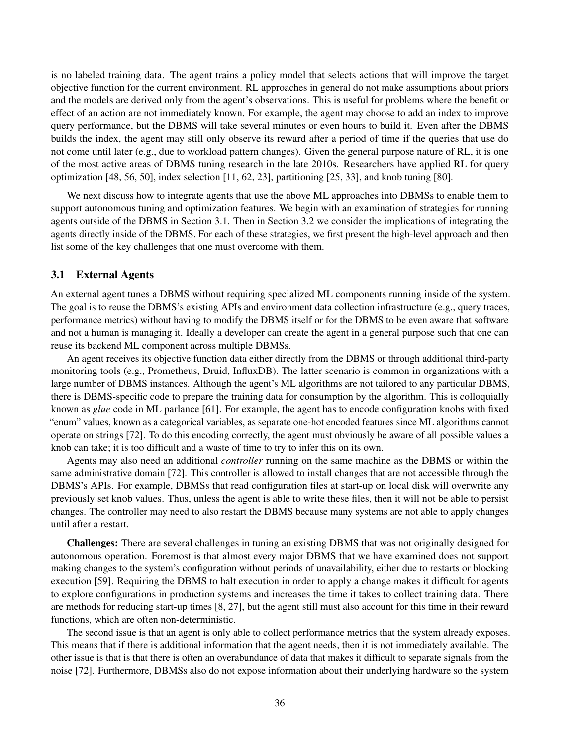is no labeled training data. The agent trains a policy model that selects actions that will improve the target objective function for the current environment. RL approaches in general do not make assumptions about priors and the models are derived only from the agent's observations. This is useful for problems where the benefit or effect of an action are not immediately known. For example, the agent may choose to add an index to improve query performance, but the DBMS will take several minutes or even hours to build it. Even after the DBMS builds the index, the agent may still only observe its reward after a period of time if the queries that use do not come until later (e.g., due to workload pattern changes). Given the general purpose nature of RL, it is one of the most active areas of DBMS tuning research in the late 2010s. Researchers have applied RL for query optimization [48, 56, 50], index selection [11, 62, 23], partitioning [25, 33], and knob tuning [80].

We next discuss how to integrate agents that use the above ML approaches into DBMSs to enable them to support autonomous tuning and optimization features. We begin with an examination of strategies for running agents outside of the DBMS in Section 3.1. Then in Section 3.2 we consider the implications of integrating the agents directly inside of the DBMS. For each of these strategies, we first present the high-level approach and then list some of the key challenges that one must overcome with them.

## 3.1 External Agents

An external agent tunes a DBMS without requiring specialized ML components running inside of the system. The goal is to reuse the DBMS's existing APIs and environment data collection infrastructure (e.g., query traces, performance metrics) without having to modify the DBMS itself or for the DBMS to be even aware that software and not a human is managing it. Ideally a developer can create the agent in a general purpose such that one can reuse its backend ML component across multiple DBMSs.

An agent receives its objective function data either directly from the DBMS or through additional third-party monitoring tools (e.g., Prometheus, Druid, InfluxDB). The latter scenario is common in organizations with a large number of DBMS instances. Although the agent's ML algorithms are not tailored to any particular DBMS, there is DBMS-specific code to prepare the training data for consumption by the algorithm. This is colloquially known as *glue* code in ML parlance [61]. For example, the agent has to encode configuration knobs with fixed "enum" values, known as a categorical variables, as separate one-hot encoded features since ML algorithms cannot operate on strings [72]. To do this encoding correctly, the agent must obviously be aware of all possible values a knob can take; it is too difficult and a waste of time to try to infer this on its own.

Agents may also need an additional *controller* running on the same machine as the DBMS or within the same administrative domain [72]. This controller is allowed to install changes that are not accessible through the DBMS's APIs. For example, DBMSs that read configuration files at start-up on local disk will overwrite any previously set knob values. Thus, unless the agent is able to write these files, then it will not be able to persist changes. The controller may need to also restart the DBMS because many systems are not able to apply changes until after a restart.

Challenges: There are several challenges in tuning an existing DBMS that was not originally designed for autonomous operation. Foremost is that almost every major DBMS that we have examined does not support making changes to the system's configuration without periods of unavailability, either due to restarts or blocking execution [59]. Requiring the DBMS to halt execution in order to apply a change makes it difficult for agents to explore configurations in production systems and increases the time it takes to collect training data. There are methods for reducing start-up times [8, 27], but the agent still must also account for this time in their reward functions, which are often non-deterministic.

The second issue is that an agent is only able to collect performance metrics that the system already exposes. This means that if there is additional information that the agent needs, then it is not immediately available. The other issue is that is that there is often an overabundance of data that makes it difficult to separate signals from the noise [72]. Furthermore, DBMSs also do not expose information about their underlying hardware so the system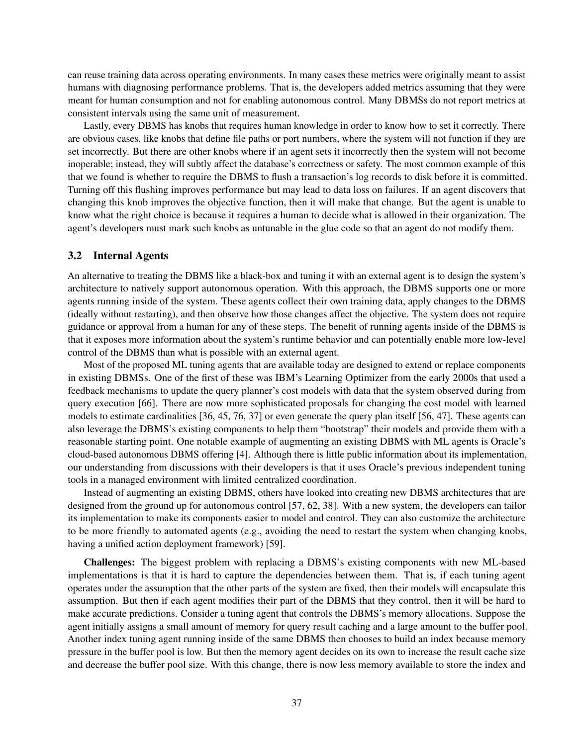can reuse training data across operating environments. In many cases these metrics were originally meant to assist humans with diagnosing performance problems. That is, the developers added metrics assuming that they were meant for human consumption and not for enabling autonomous control. Many DBMSs do not report metrics at consistent intervals using the same unit of measurement.

Lastly, every DBMS has knobs that requires human knowledge in order to know how to set it correctly. There are obvious cases, like knobs that define file paths or port numbers, where the system will not function if they are set incorrectly. But there are other knobs where if an agent sets it incorrectly then the system will not become inoperable; instead, they will subtly affect the database's correctness or safety. The most common example of this that we found is whether to require the DBMS to flush a transaction's log records to disk before it is committed. Turning off this flushing improves performance but may lead to data loss on failures. If an agent discovers that changing this knob improves the objective function, then it will make that change. But the agent is unable to know what the right choice is because it requires a human to decide what is allowed in their organization. The agent's developers must mark such knobs as untunable in the glue code so that an agent do not modify them.

### 3.2 Internal Agents

An alternative to treating the DBMS like a black-box and tuning it with an external agent is to design the system's architecture to natively support autonomous operation. With this approach, the DBMS supports one or more agents running inside of the system. These agents collect their own training data, apply changes to the DBMS (ideally without restarting), and then observe how those changes affect the objective. The system does not require guidance or approval from a human for any of these steps. The benefit of running agents inside of the DBMS is that it exposes more information about the system's runtime behavior and can potentially enable more low-level control of the DBMS than what is possible with an external agent.

Most of the proposed ML tuning agents that are available today are designed to extend or replace components in existing DBMSs. One of the first of these was IBM's Learning Optimizer from the early 2000s that used a feedback mechanisms to update the query planner's cost models with data that the system observed during from query execution [66]. There are now more sophisticated proposals for changing the cost model with learned models to estimate cardinalities [36, 45, 76, 37] or even generate the query plan itself [56, 47]. These agents can also leverage the DBMS's existing components to help them "bootstrap" their models and provide them with a reasonable starting point. One notable example of augmenting an existing DBMS with ML agents is Oracle's cloud-based autonomous DBMS offering [4]. Although there is little public information about its implementation, our understanding from discussions with their developers is that it uses Oracle's previous independent tuning tools in a managed environment with limited centralized coordination.

Instead of augmenting an existing DBMS, others have looked into creating new DBMS architectures that are designed from the ground up for autonomous control [57, 62, 38]. With a new system, the developers can tailor its implementation to make its components easier to model and control. They can also customize the architecture to be more friendly to automated agents (e.g., avoiding the need to restart the system when changing knobs, having a unified action deployment framework) [59].

Challenges: The biggest problem with replacing a DBMS's existing components with new ML-based implementations is that it is hard to capture the dependencies between them. That is, if each tuning agent operates under the assumption that the other parts of the system are fixed, then their models will encapsulate this assumption. But then if each agent modifies their part of the DBMS that they control, then it will be hard to make accurate predictions. Consider a tuning agent that controls the DBMS's memory allocations. Suppose the agent initially assigns a small amount of memory for query result caching and a large amount to the buffer pool. Another index tuning agent running inside of the same DBMS then chooses to build an index because memory pressure in the buffer pool is low. But then the memory agent decides on its own to increase the result cache size and decrease the buffer pool size. With this change, there is now less memory available to store the index and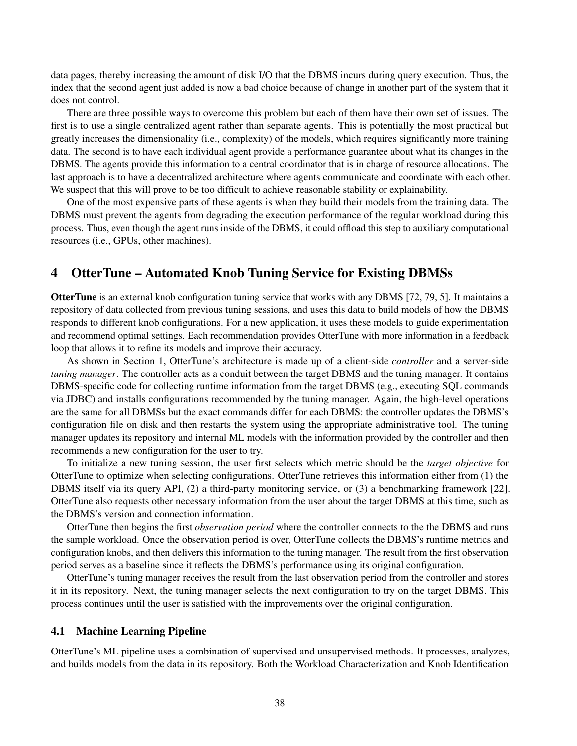data pages, thereby increasing the amount of disk I/O that the DBMS incurs during query execution. Thus, the index that the second agent just added is now a bad choice because of change in another part of the system that it does not control.

There are three possible ways to overcome this problem but each of them have their own set of issues. The first is to use a single centralized agent rather than separate agents. This is potentially the most practical but greatly increases the dimensionality (i.e., complexity) of the models, which requires significantly more training data. The second is to have each individual agent provide a performance guarantee about what its changes in the DBMS. The agents provide this information to a central coordinator that is in charge of resource allocations. The last approach is to have a decentralized architecture where agents communicate and coordinate with each other. We suspect that this will prove to be too difficult to achieve reasonable stability or explainability.

One of the most expensive parts of these agents is when they build their models from the training data. The DBMS must prevent the agents from degrading the execution performance of the regular workload during this process. Thus, even though the agent runs inside of the DBMS, it could offload this step to auxiliary computational resources (i.e., GPUs, other machines).

## 4 OtterTune – Automated Knob Tuning Service for Existing DBMSs

OtterTune is an external knob configuration tuning service that works with any DBMS [72, 79, 5]. It maintains a repository of data collected from previous tuning sessions, and uses this data to build models of how the DBMS responds to different knob configurations. For a new application, it uses these models to guide experimentation and recommend optimal settings. Each recommendation provides OtterTune with more information in a feedback loop that allows it to refine its models and improve their accuracy.

As shown in Section 1, OtterTune's architecture is made up of a client-side *controller* and a server-side *tuning manager*. The controller acts as a conduit between the target DBMS and the tuning manager. It contains DBMS-specific code for collecting runtime information from the target DBMS (e.g., executing SQL commands via JDBC) and installs configurations recommended by the tuning manager. Again, the high-level operations are the same for all DBMSs but the exact commands differ for each DBMS: the controller updates the DBMS's configuration file on disk and then restarts the system using the appropriate administrative tool. The tuning manager updates its repository and internal ML models with the information provided by the controller and then recommends a new configuration for the user to try.

To initialize a new tuning session, the user first selects which metric should be the *target objective* for OtterTune to optimize when selecting configurations. OtterTune retrieves this information either from (1) the DBMS itself via its query API, (2) a third-party monitoring service, or (3) a benchmarking framework [22]. OtterTune also requests other necessary information from the user about the target DBMS at this time, such as the DBMS's version and connection information.

OtterTune then begins the first *observation period* where the controller connects to the the DBMS and runs the sample workload. Once the observation period is over, OtterTune collects the DBMS's runtime metrics and configuration knobs, and then delivers this information to the tuning manager. The result from the first observation period serves as a baseline since it reflects the DBMS's performance using its original configuration.

OtterTune's tuning manager receives the result from the last observation period from the controller and stores it in its repository. Next, the tuning manager selects the next configuration to try on the target DBMS. This process continues until the user is satisfied with the improvements over the original configuration.

## 4.1 Machine Learning Pipeline

OtterTune's ML pipeline uses a combination of supervised and unsupervised methods. It processes, analyzes, and builds models from the data in its repository. Both the Workload Characterization and Knob Identification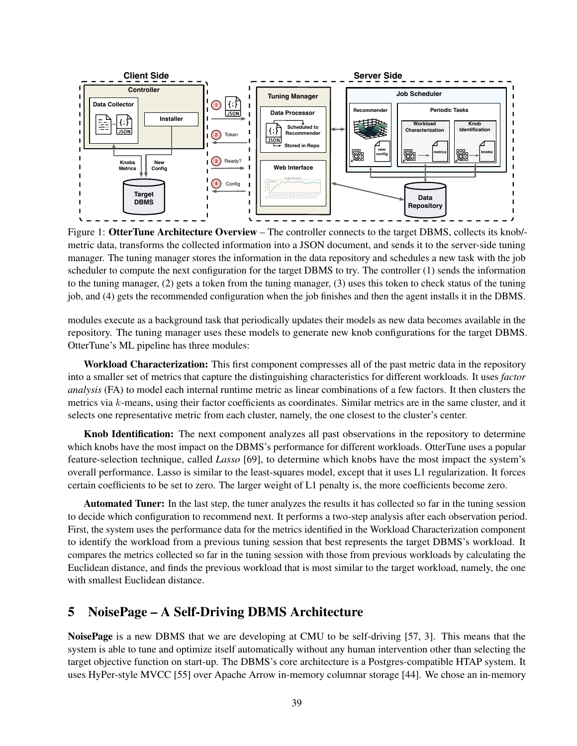

Figure 1: OtterTune Architecture Overview – The controller connects to the target DBMS, collects its knob/ metric data, transforms the collected information into a JSON document, and sends it to the server-side tuning manager. The tuning manager stores the information in the data repository and schedules a new task with the job scheduler to compute the next configuration for the target DBMS to try. The controller (1) sends the information to the tuning manager, (2) gets a token from the tuning manager, (3) uses this token to check status of the tuning job, and (4) gets the recommended configuration when the job finishes and then the agent installs it in the DBMS.

modules execute as a background task that periodically updates their models as new data becomes available in the repository. The tuning manager uses these models to generate new knob configurations for the target DBMS. OtterTune's ML pipeline has three modules:

Workload Characterization: This first component compresses all of the past metric data in the repository into a smaller set of metrics that capture the distinguishing characteristics for different workloads. It uses *factor analysis* (FA) to model each internal runtime metric as linear combinations of a few factors. It then clusters the metrics via k-means, using their factor coefficients as coordinates. Similar metrics are in the same cluster, and it selects one representative metric from each cluster, namely, the one closest to the cluster's center.

Knob Identification: The next component analyzes all past observations in the repository to determine which knobs have the most impact on the DBMS's performance for different workloads. OtterTune uses a popular feature-selection technique, called *Lasso* [69], to determine which knobs have the most impact the system's overall performance. Lasso is similar to the least-squares model, except that it uses L1 regularization. It forces certain coefficients to be set to zero. The larger weight of L1 penalty is, the more coefficients become zero.

Automated Tuner: In the last step, the tuner analyzes the results it has collected so far in the tuning session to decide which configuration to recommend next. It performs a two-step analysis after each observation period. First, the system uses the performance data for the metrics identified in the Workload Characterization component to identify the workload from a previous tuning session that best represents the target DBMS's workload. It compares the metrics collected so far in the tuning session with those from previous workloads by calculating the Euclidean distance, and finds the previous workload that is most similar to the target workload, namely, the one with smallest Euclidean distance.

# 5 NoisePage – A Self-Driving DBMS Architecture

NoisePage is a new DBMS that we are developing at CMU to be self-driving [57, 3]. This means that the system is able to tune and optimize itself automatically without any human intervention other than selecting the target objective function on start-up. The DBMS's core architecture is a Postgres-compatible HTAP system. It uses HyPer-style MVCC [55] over Apache Arrow in-memory columnar storage [44]. We chose an in-memory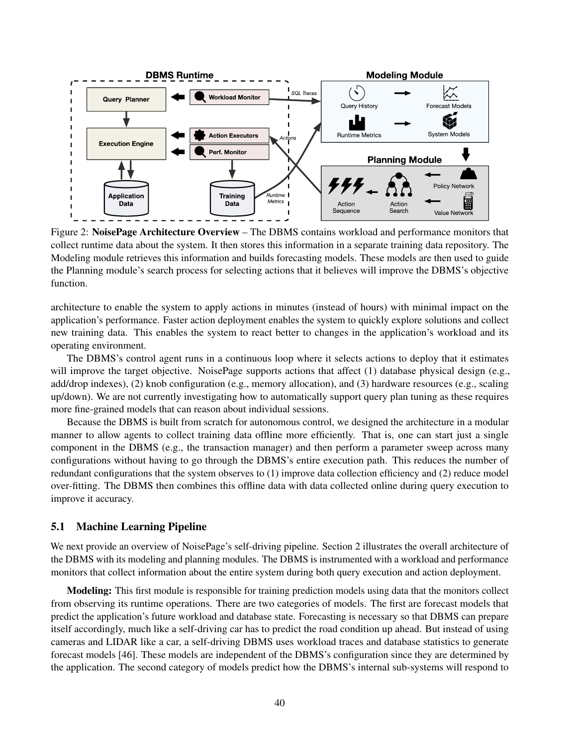

Figure 2: NoisePage Architecture Overview – The DBMS contains workload and performance monitors that collect runtime data about the system. It then stores this information in a separate training data repository. The Modeling module retrieves this information and builds forecasting models. These models are then used to guide the Planning module's search process for selecting actions that it believes will improve the DBMS's objective function.

architecture to enable the system to apply actions in minutes (instead of hours) with minimal impact on the application's performance. Faster action deployment enables the system to quickly explore solutions and collect new training data. This enables the system to react better to changes in the application's workload and its operating environment.

The DBMS's control agent runs in a continuous loop where it selects actions to deploy that it estimates will improve the target objective. NoisePage supports actions that affect (1) database physical design (e.g., add/drop indexes), (2) knob configuration (e.g., memory allocation), and (3) hardware resources (e.g., scaling up/down). We are not currently investigating how to automatically support query plan tuning as these requires more fine-grained models that can reason about individual sessions.

Because the DBMS is built from scratch for autonomous control, we designed the architecture in a modular manner to allow agents to collect training data offline more efficiently. That is, one can start just a single component in the DBMS (e.g., the transaction manager) and then perform a parameter sweep across many configurations without having to go through the DBMS's entire execution path. This reduces the number of redundant configurations that the system observes to (1) improve data collection efficiency and (2) reduce model over-fitting. The DBMS then combines this offline data with data collected online during query execution to improve it accuracy.

#### 5.1 Machine Learning Pipeline

We next provide an overview of NoisePage's self-driving pipeline. Section 2 illustrates the overall architecture of the DBMS with its modeling and planning modules. The DBMS is instrumented with a workload and performance monitors that collect information about the entire system during both query execution and action deployment.

Modeling: This first module is responsible for training prediction models using data that the monitors collect from observing its runtime operations. There are two categories of models. The first are forecast models that predict the application's future workload and database state. Forecasting is necessary so that DBMS can prepare itself accordingly, much like a self-driving car has to predict the road condition up ahead. But instead of using cameras and LIDAR like a car, a self-driving DBMS uses workload traces and database statistics to generate forecast models [46]. These models are independent of the DBMS's configuration since they are determined by the application. The second category of models predict how the DBMS's internal sub-systems will respond to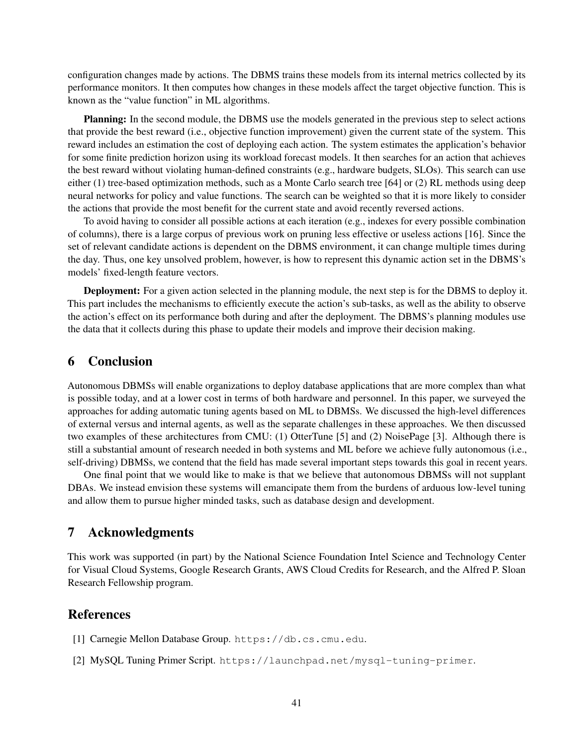configuration changes made by actions. The DBMS trains these models from its internal metrics collected by its performance monitors. It then computes how changes in these models affect the target objective function. This is known as the "value function" in ML algorithms.

Planning: In the second module, the DBMS use the models generated in the previous step to select actions that provide the best reward (i.e., objective function improvement) given the current state of the system. This reward includes an estimation the cost of deploying each action. The system estimates the application's behavior for some finite prediction horizon using its workload forecast models. It then searches for an action that achieves the best reward without violating human-defined constraints (e.g., hardware budgets, SLOs). This search can use either (1) tree-based optimization methods, such as a Monte Carlo search tree [64] or (2) RL methods using deep neural networks for policy and value functions. The search can be weighted so that it is more likely to consider the actions that provide the most benefit for the current state and avoid recently reversed actions.

To avoid having to consider all possible actions at each iteration (e.g., indexes for every possible combination of columns), there is a large corpus of previous work on pruning less effective or useless actions [16]. Since the set of relevant candidate actions is dependent on the DBMS environment, it can change multiple times during the day. Thus, one key unsolved problem, however, is how to represent this dynamic action set in the DBMS's models' fixed-length feature vectors.

Deployment: For a given action selected in the planning module, the next step is for the DBMS to deploy it. This part includes the mechanisms to efficiently execute the action's sub-tasks, as well as the ability to observe the action's effect on its performance both during and after the deployment. The DBMS's planning modules use the data that it collects during this phase to update their models and improve their decision making.

# 6 Conclusion

Autonomous DBMSs will enable organizations to deploy database applications that are more complex than what is possible today, and at a lower cost in terms of both hardware and personnel. In this paper, we surveyed the approaches for adding automatic tuning agents based on ML to DBMSs. We discussed the high-level differences of external versus and internal agents, as well as the separate challenges in these approaches. We then discussed two examples of these architectures from CMU: (1) OtterTune [5] and (2) NoisePage [3]. Although there is still a substantial amount of research needed in both systems and ML before we achieve fully autonomous (i.e., self-driving) DBMSs, we contend that the field has made several important steps towards this goal in recent years.

One final point that we would like to make is that we believe that autonomous DBMSs will not supplant DBAs. We instead envision these systems will emancipate them from the burdens of arduous low-level tuning and allow them to pursue higher minded tasks, such as database design and development.

# 7 Acknowledgments

This work was supported (in part) by the National Science Foundation Intel Science and Technology Center for Visual Cloud Systems, Google Research Grants, AWS Cloud Credits for Research, and the Alfred P. Sloan Research Fellowship program.

## **References**

- [1] Carnegie Mellon Database Group. https://db.cs.cmu.edu.
- [2] MySQL Tuning Primer Script. https://launchpad.net/mysql-tuning-primer.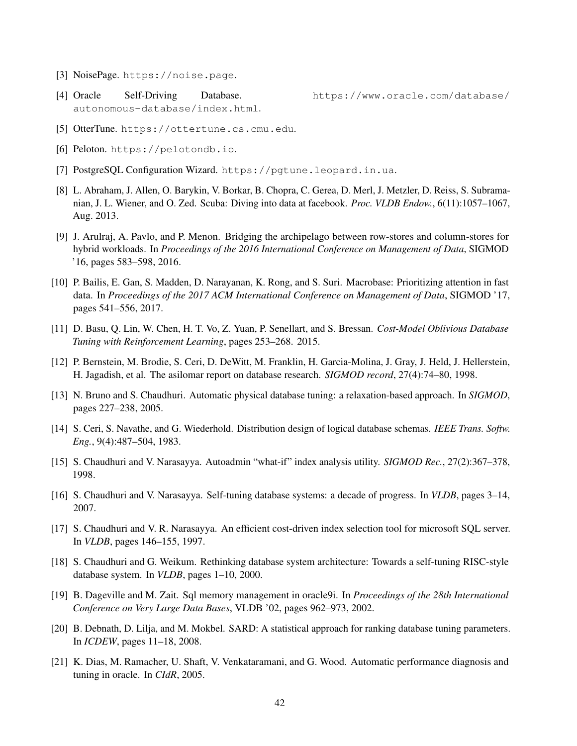- [3] NoisePage. https://noise.page.
- [4] Oracle Self-Driving Database. https://www.oracle.com/database/ autonomous-database/index.html.

- [5] OtterTune. https://ottertune.cs.cmu.edu.
- [6] Peloton. https://pelotondb.io.
- [7] PostgreSQL Configuration Wizard. https://pgtune.leopard.in.ua.
- [8] L. Abraham, J. Allen, O. Barykin, V. Borkar, B. Chopra, C. Gerea, D. Merl, J. Metzler, D. Reiss, S. Subramanian, J. L. Wiener, and O. Zed. Scuba: Diving into data at facebook. *Proc. VLDB Endow.*, 6(11):1057–1067, Aug. 2013.
- [9] J. Arulraj, A. Pavlo, and P. Menon. Bridging the archipelago between row-stores and column-stores for hybrid workloads. In *Proceedings of the 2016 International Conference on Management of Data*, SIGMOD '16, pages 583–598, 2016.
- [10] P. Bailis, E. Gan, S. Madden, D. Narayanan, K. Rong, and S. Suri. Macrobase: Prioritizing attention in fast data. In *Proceedings of the 2017 ACM International Conference on Management of Data*, SIGMOD '17, pages 541–556, 2017.
- [11] D. Basu, Q. Lin, W. Chen, H. T. Vo, Z. Yuan, P. Senellart, and S. Bressan. *Cost-Model Oblivious Database Tuning with Reinforcement Learning*, pages 253–268. 2015.
- [12] P. Bernstein, M. Brodie, S. Ceri, D. DeWitt, M. Franklin, H. Garcia-Molina, J. Gray, J. Held, J. Hellerstein, H. Jagadish, et al. The asilomar report on database research. *SIGMOD record*, 27(4):74–80, 1998.
- [13] N. Bruno and S. Chaudhuri. Automatic physical database tuning: a relaxation-based approach. In *SIGMOD*, pages 227–238, 2005.
- [14] S. Ceri, S. Navathe, and G. Wiederhold. Distribution design of logical database schemas. *IEEE Trans. Softw. Eng.*, 9(4):487–504, 1983.
- [15] S. Chaudhuri and V. Narasayya. Autoadmin "what-if" index analysis utility. *SIGMOD Rec.*, 27(2):367–378, 1998.
- [16] S. Chaudhuri and V. Narasayya. Self-tuning database systems: a decade of progress. In *VLDB*, pages 3–14, 2007.
- [17] S. Chaudhuri and V. R. Narasayya. An efficient cost-driven index selection tool for microsoft SQL server. In *VLDB*, pages 146–155, 1997.
- [18] S. Chaudhuri and G. Weikum. Rethinking database system architecture: Towards a self-tuning RISC-style database system. In *VLDB*, pages 1–10, 2000.
- [19] B. Dageville and M. Zait. Sql memory management in oracle9i. In *Proceedings of the 28th International Conference on Very Large Data Bases*, VLDB '02, pages 962–973, 2002.
- [20] B. Debnath, D. Lilja, and M. Mokbel. SARD: A statistical approach for ranking database tuning parameters. In *ICDEW*, pages 11–18, 2008.
- [21] K. Dias, M. Ramacher, U. Shaft, V. Venkataramani, and G. Wood. Automatic performance diagnosis and tuning in oracle. In *CIdR*, 2005.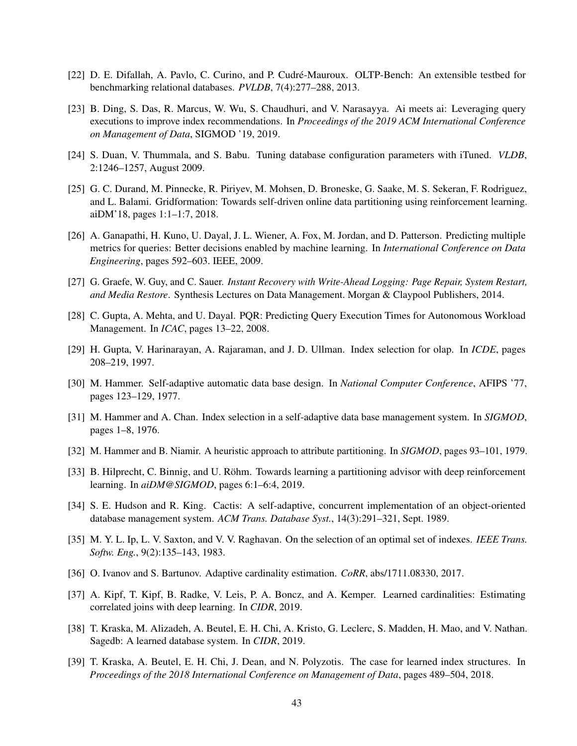- [22] D. E. Difallah, A. Pavlo, C. Curino, and P. Cudré-Mauroux. OLTP-Bench: An extensible testbed for benchmarking relational databases. *PVLDB*, 7(4):277–288, 2013.
- [23] B. Ding, S. Das, R. Marcus, W. Wu, S. Chaudhuri, and V. Narasayya. Ai meets ai: Leveraging query executions to improve index recommendations. In *Proceedings of the 2019 ACM International Conference on Management of Data*, SIGMOD '19, 2019.
- [24] S. Duan, V. Thummala, and S. Babu. Tuning database configuration parameters with iTuned. *VLDB*, 2:1246–1257, August 2009.
- [25] G. C. Durand, M. Pinnecke, R. Piriyev, M. Mohsen, D. Broneske, G. Saake, M. S. Sekeran, F. Rodriguez, and L. Balami. Gridformation: Towards self-driven online data partitioning using reinforcement learning. aiDM'18, pages 1:1–1:7, 2018.
- [26] A. Ganapathi, H. Kuno, U. Dayal, J. L. Wiener, A. Fox, M. Jordan, and D. Patterson. Predicting multiple metrics for queries: Better decisions enabled by machine learning. In *International Conference on Data Engineering*, pages 592–603. IEEE, 2009.
- [27] G. Graefe, W. Guy, and C. Sauer. *Instant Recovery with Write-Ahead Logging: Page Repair, System Restart, and Media Restore*. Synthesis Lectures on Data Management. Morgan & Claypool Publishers, 2014.
- [28] C. Gupta, A. Mehta, and U. Dayal. PQR: Predicting Query Execution Times for Autonomous Workload Management. In *ICAC*, pages 13–22, 2008.
- [29] H. Gupta, V. Harinarayan, A. Rajaraman, and J. D. Ullman. Index selection for olap. In *ICDE*, pages 208–219, 1997.
- [30] M. Hammer. Self-adaptive automatic data base design. In *National Computer Conference*, AFIPS '77, pages 123–129, 1977.
- [31] M. Hammer and A. Chan. Index selection in a self-adaptive data base management system. In *SIGMOD*, pages 1–8, 1976.
- [32] M. Hammer and B. Niamir. A heuristic approach to attribute partitioning. In *SIGMOD*, pages 93–101, 1979.
- [33] B. Hilprecht, C. Binnig, and U. Röhm. Towards learning a partitioning advisor with deep reinforcement learning. In *aiDM@SIGMOD*, pages 6:1–6:4, 2019.
- [34] S. E. Hudson and R. King. Cactis: A self-adaptive, concurrent implementation of an object-oriented database management system. *ACM Trans. Database Syst.*, 14(3):291–321, Sept. 1989.
- [35] M. Y. L. Ip, L. V. Saxton, and V. V. Raghavan. On the selection of an optimal set of indexes. *IEEE Trans. Softw. Eng.*, 9(2):135–143, 1983.
- [36] O. Ivanov and S. Bartunov. Adaptive cardinality estimation. *CoRR*, abs/1711.08330, 2017.
- [37] A. Kipf, T. Kipf, B. Radke, V. Leis, P. A. Boncz, and A. Kemper. Learned cardinalities: Estimating correlated joins with deep learning. In *CIDR*, 2019.
- [38] T. Kraska, M. Alizadeh, A. Beutel, E. H. Chi, A. Kristo, G. Leclerc, S. Madden, H. Mao, and V. Nathan. Sagedb: A learned database system. In *CIDR*, 2019.
- [39] T. Kraska, A. Beutel, E. H. Chi, J. Dean, and N. Polyzotis. The case for learned index structures. In *Proceedings of the 2018 International Conference on Management of Data*, pages 489–504, 2018.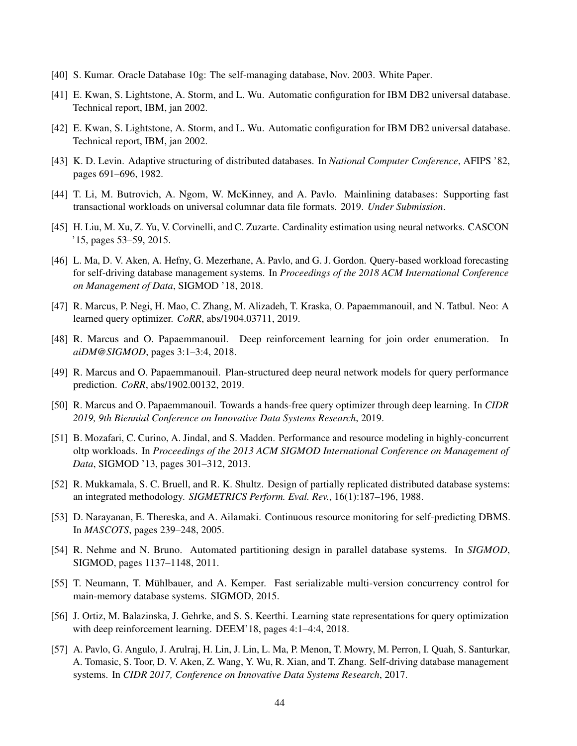- [40] S. Kumar. Oracle Database 10g: The self-managing database, Nov. 2003. White Paper.
- [41] E. Kwan, S. Lightstone, A. Storm, and L. Wu. Automatic configuration for IBM DB2 universal database. Technical report, IBM, jan 2002.
- [42] E. Kwan, S. Lightstone, A. Storm, and L. Wu. Automatic configuration for IBM DB2 universal database. Technical report, IBM, jan 2002.
- [43] K. D. Levin. Adaptive structuring of distributed databases. In *National Computer Conference*, AFIPS '82, pages 691–696, 1982.
- [44] T. Li, M. Butrovich, A. Ngom, W. McKinney, and A. Pavlo. Mainlining databases: Supporting fast transactional workloads on universal columnar data file formats. 2019. *Under Submission*.
- [45] H. Liu, M. Xu, Z. Yu, V. Corvinelli, and C. Zuzarte. Cardinality estimation using neural networks. CASCON '15, pages 53–59, 2015.
- [46] L. Ma, D. V. Aken, A. Hefny, G. Mezerhane, A. Pavlo, and G. J. Gordon. Query-based workload forecasting for self-driving database management systems. In *Proceedings of the 2018 ACM International Conference on Management of Data*, SIGMOD '18, 2018.
- [47] R. Marcus, P. Negi, H. Mao, C. Zhang, M. Alizadeh, T. Kraska, O. Papaemmanouil, and N. Tatbul. Neo: A learned query optimizer. *CoRR*, abs/1904.03711, 2019.
- [48] R. Marcus and O. Papaemmanouil. Deep reinforcement learning for join order enumeration. In *aiDM@SIGMOD*, pages 3:1–3:4, 2018.
- [49] R. Marcus and O. Papaemmanouil. Plan-structured deep neural network models for query performance prediction. *CoRR*, abs/1902.00132, 2019.
- [50] R. Marcus and O. Papaemmanouil. Towards a hands-free query optimizer through deep learning. In *CIDR 2019, 9th Biennial Conference on Innovative Data Systems Research*, 2019.
- [51] B. Mozafari, C. Curino, A. Jindal, and S. Madden. Performance and resource modeling in highly-concurrent oltp workloads. In *Proceedings of the 2013 ACM SIGMOD International Conference on Management of Data*, SIGMOD '13, pages 301–312, 2013.
- [52] R. Mukkamala, S. C. Bruell, and R. K. Shultz. Design of partially replicated distributed database systems: an integrated methodology. *SIGMETRICS Perform. Eval. Rev.*, 16(1):187–196, 1988.
- [53] D. Narayanan, E. Thereska, and A. Ailamaki. Continuous resource monitoring for self-predicting DBMS. In *MASCOTS*, pages 239–248, 2005.
- [54] R. Nehme and N. Bruno. Automated partitioning design in parallel database systems. In *SIGMOD*, SIGMOD, pages 1137–1148, 2011.
- [55] T. Neumann, T. Mühlbauer, and A. Kemper. Fast serializable multi-version concurrency control for main-memory database systems. SIGMOD, 2015.
- [56] J. Ortiz, M. Balazinska, J. Gehrke, and S. S. Keerthi. Learning state representations for query optimization with deep reinforcement learning. DEEM'18, pages 4:1–4:4, 2018.
- [57] A. Pavlo, G. Angulo, J. Arulraj, H. Lin, J. Lin, L. Ma, P. Menon, T. Mowry, M. Perron, I. Quah, S. Santurkar, A. Tomasic, S. Toor, D. V. Aken, Z. Wang, Y. Wu, R. Xian, and T. Zhang. Self-driving database management systems. In *CIDR 2017, Conference on Innovative Data Systems Research*, 2017.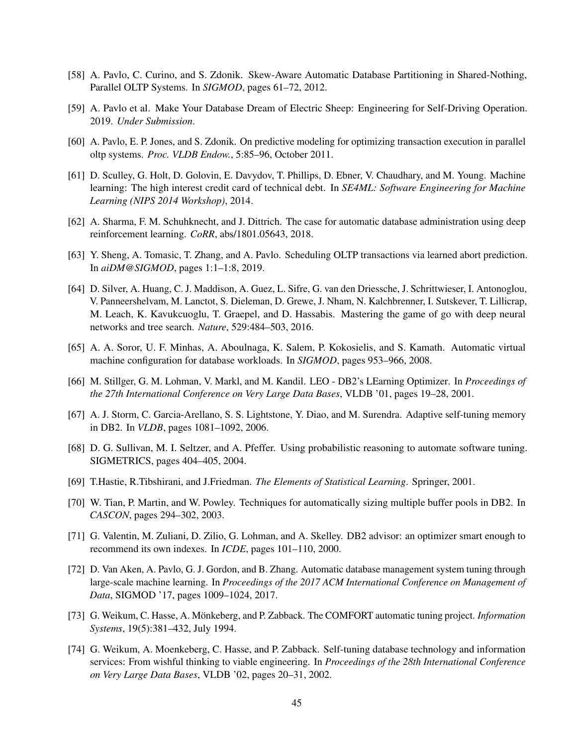- [58] A. Pavlo, C. Curino, and S. Zdonik. Skew-Aware Automatic Database Partitioning in Shared-Nothing, Parallel OLTP Systems. In *SIGMOD*, pages 61–72, 2012.
- [59] A. Pavlo et al. Make Your Database Dream of Electric Sheep: Engineering for Self-Driving Operation. 2019. *Under Submission*.
- [60] A. Pavlo, E. P. Jones, and S. Zdonik. On predictive modeling for optimizing transaction execution in parallel oltp systems. *Proc. VLDB Endow.*, 5:85–96, October 2011.
- [61] D. Sculley, G. Holt, D. Golovin, E. Davydov, T. Phillips, D. Ebner, V. Chaudhary, and M. Young. Machine learning: The high interest credit card of technical debt. In *SE4ML: Software Engineering for Machine Learning (NIPS 2014 Workshop)*, 2014.
- [62] A. Sharma, F. M. Schuhknecht, and J. Dittrich. The case for automatic database administration using deep reinforcement learning. *CoRR*, abs/1801.05643, 2018.
- [63] Y. Sheng, A. Tomasic, T. Zhang, and A. Pavlo. Scheduling OLTP transactions via learned abort prediction. In *aiDM@SIGMOD*, pages 1:1–1:8, 2019.
- [64] D. Silver, A. Huang, C. J. Maddison, A. Guez, L. Sifre, G. van den Driessche, J. Schrittwieser, I. Antonoglou, V. Panneershelvam, M. Lanctot, S. Dieleman, D. Grewe, J. Nham, N. Kalchbrenner, I. Sutskever, T. Lillicrap, M. Leach, K. Kavukcuoglu, T. Graepel, and D. Hassabis. Mastering the game of go with deep neural networks and tree search. *Nature*, 529:484–503, 2016.
- [65] A. A. Soror, U. F. Minhas, A. Aboulnaga, K. Salem, P. Kokosielis, and S. Kamath. Automatic virtual machine configuration for database workloads. In *SIGMOD*, pages 953–966, 2008.
- [66] M. Stillger, G. M. Lohman, V. Markl, and M. Kandil. LEO DB2's LEarning Optimizer. In *Proceedings of the 27th International Conference on Very Large Data Bases*, VLDB '01, pages 19–28, 2001.
- [67] A. J. Storm, C. Garcia-Arellano, S. S. Lightstone, Y. Diao, and M. Surendra. Adaptive self-tuning memory in DB2. In *VLDB*, pages 1081–1092, 2006.
- [68] D. G. Sullivan, M. I. Seltzer, and A. Pfeffer. Using probabilistic reasoning to automate software tuning. SIGMETRICS, pages 404–405, 2004.
- [69] T.Hastie, R.Tibshirani, and J.Friedman. *The Elements of Statistical Learning*. Springer, 2001.
- [70] W. Tian, P. Martin, and W. Powley. Techniques for automatically sizing multiple buffer pools in DB2. In *CASCON*, pages 294–302, 2003.
- [71] G. Valentin, M. Zuliani, D. Zilio, G. Lohman, and A. Skelley. DB2 advisor: an optimizer smart enough to recommend its own indexes. In *ICDE*, pages 101–110, 2000.
- [72] D. Van Aken, A. Pavlo, G. J. Gordon, and B. Zhang. Automatic database management system tuning through large-scale machine learning. In *Proceedings of the 2017 ACM International Conference on Management of Data*, SIGMOD '17, pages 1009–1024, 2017.
- [73] G. Weikum, C. Hasse, A. Mönkeberg, and P. Zabback. The COMFORT automatic tuning project. *Information Systems*, 19(5):381–432, July 1994.
- [74] G. Weikum, A. Moenkeberg, C. Hasse, and P. Zabback. Self-tuning database technology and information services: From wishful thinking to viable engineering. In *Proceedings of the 28th International Conference on Very Large Data Bases*, VLDB '02, pages 20–31, 2002.